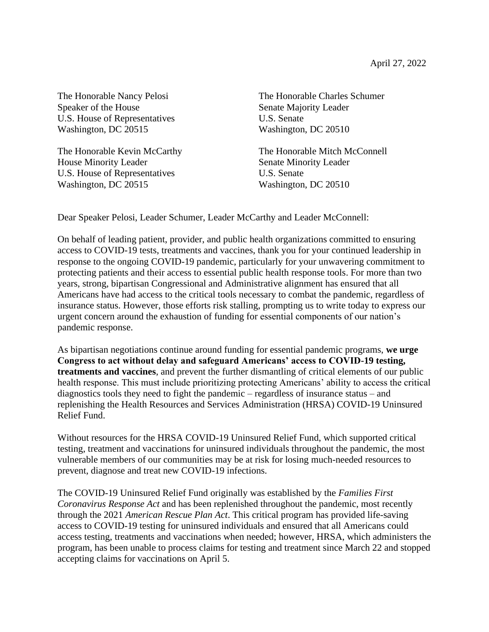Speaker of the House Senate Majority Leader U.S. House of Representatives U.S. Senate Washington, DC 20515 Washington, DC 20510

House Minority Leader Senate Minority Leader U.S. House of Representatives U.S. Senate Washington, DC 20515 Washington, DC 20510

The Honorable Nancy Pelosi The Honorable Charles Schumer

The Honorable Kevin McCarthy The Honorable Mitch McConnell

Dear Speaker Pelosi, Leader Schumer, Leader McCarthy and Leader McConnell:

On behalf of leading patient, provider, and public health organizations committed to ensuring access to COVID-19 tests, treatments and vaccines, thank you for your continued leadership in response to the ongoing COVID-19 pandemic, particularly for your unwavering commitment to protecting patients and their access to essential public health response tools. For more than two years, strong, bipartisan Congressional and Administrative alignment has ensured that all Americans have had access to the critical tools necessary to combat the pandemic, regardless of insurance status. However, those efforts risk stalling, prompting us to write today to express our urgent concern around the exhaustion of funding for essential components of our nation's pandemic response.

As bipartisan negotiations continue around funding for essential pandemic programs, **we urge Congress to act without delay and safeguard Americans' access to COVID-19 testing, treatments and vaccines**, and prevent the further dismantling of critical elements of our public health response. This must include prioritizing protecting Americans' ability to access the critical diagnostics tools they need to fight the pandemic – regardless of insurance status – and replenishing the Health Resources and Services Administration (HRSA) COVID-19 Uninsured Relief Fund.

Without resources for the HRSA COVID-19 Uninsured Relief Fund, which supported critical testing, treatment and vaccinations for uninsured individuals throughout the pandemic, the most vulnerable members of our communities may be at risk for losing much-needed resources to prevent, diagnose and treat new COVID-19 infections.

The COVID-19 Uninsured Relief Fund originally was established by the *Families First Coronavirus Response Act* and has been replenished throughout the pandemic, most recently through the 2021 *American Rescue Plan Act*. This critical program has provided life-saving access to COVID-19 testing for uninsured individuals and ensured that all Americans could access testing, treatments and vaccinations when needed; however, HRSA, which administers the program, has been unable to process claims for testing and treatment since March 22 and stopped accepting claims for vaccinations on April 5.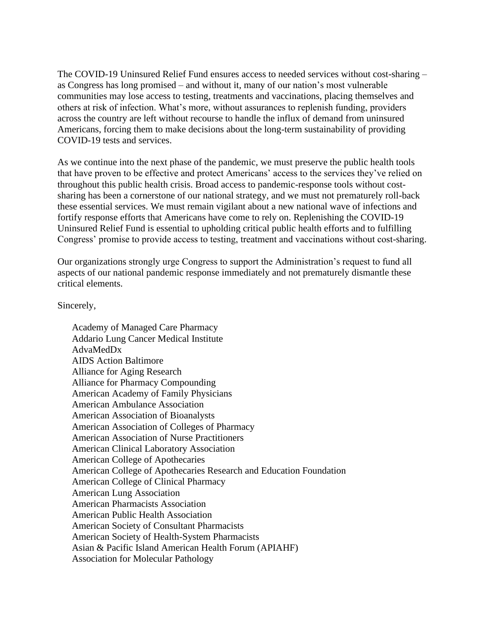The COVID-19 Uninsured Relief Fund ensures access to needed services without cost-sharing – as Congress has long promised – and without it, many of our nation's most vulnerable communities may lose access to testing, treatments and vaccinations, placing themselves and others at risk of infection. What's more, without assurances to replenish funding, providers across the country are left without recourse to handle the influx of demand from uninsured Americans, forcing them to make decisions about the long-term sustainability of providing COVID-19 tests and services.

As we continue into the next phase of the pandemic, we must preserve the public health tools that have proven to be effective and protect Americans' access to the services they've relied on throughout this public health crisis. Broad access to pandemic-response tools without costsharing has been a cornerstone of our national strategy, and we must not prematurely roll-back these essential services. We must remain vigilant about a new national wave of infections and fortify response efforts that Americans have come to rely on. Replenishing the COVID-19 Uninsured Relief Fund is essential to upholding critical public health efforts and to fulfilling Congress' promise to provide access to testing, treatment and vaccinations without cost-sharing.

Our organizations strongly urge Congress to support the Administration's request to fund all aspects of our national pandemic response immediately and not prematurely dismantle these critical elements.

Sincerely,

Academy of Managed Care Pharmacy Addario Lung Cancer Medical Institute AdvaMedDx AIDS Action Baltimore Alliance for Aging Research Alliance for Pharmacy Compounding American Academy of Family Physicians American Ambulance Association American Association of Bioanalysts American Association of Colleges of Pharmacy American Association of Nurse Practitioners American Clinical Laboratory Association American College of Apothecaries American College of Apothecaries Research and Education Foundation American College of Clinical Pharmacy American Lung Association American Pharmacists Association American Public Health Association American Society of Consultant Pharmacists American Society of Health-System Pharmacists Asian & Pacific Island American Health Forum (APIAHF) Association for Molecular Pathology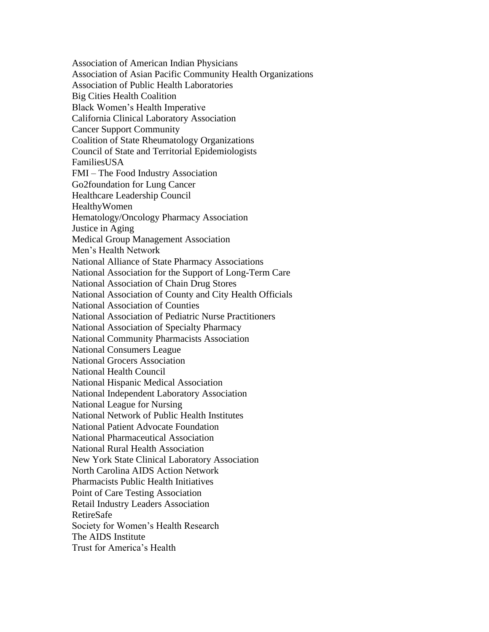Association of American Indian Physicians Association of Asian Pacific Community Health Organizations Association of Public Health Laboratories Big Cities Health Coalition Black Women's Health Imperative California Clinical Laboratory Association Cancer Support Community Coalition of State Rheumatology Organizations Council of State and Territorial Epidemiologists FamiliesUSA FMI – The Food Industry Association Go2foundation for Lung Cancer Healthcare Leadership Council **HealthyWomen** Hematology/Oncology Pharmacy Association Justice in Aging Medical Group Management Association Men's Health Network National Alliance of State Pharmacy Associations National Association for the Support of Long-Term Care National Association of Chain Drug Stores National Association of County and City Health Officials National Association of Counties National Association of Pediatric Nurse Practitioners National Association of Specialty Pharmacy National Community Pharmacists Association National Consumers League National Grocers Association National Health Council National Hispanic Medical Association National Independent Laboratory Association National League for Nursing National Network of Public Health Institutes National Patient Advocate Foundation National Pharmaceutical Association National Rural Health Association New York State Clinical Laboratory Association North Carolina AIDS Action Network Pharmacists Public Health Initiatives Point of Care Testing Association Retail Industry Leaders Association RetireSafe Society for Women's Health Research The AIDS Institute Trust for America's Health